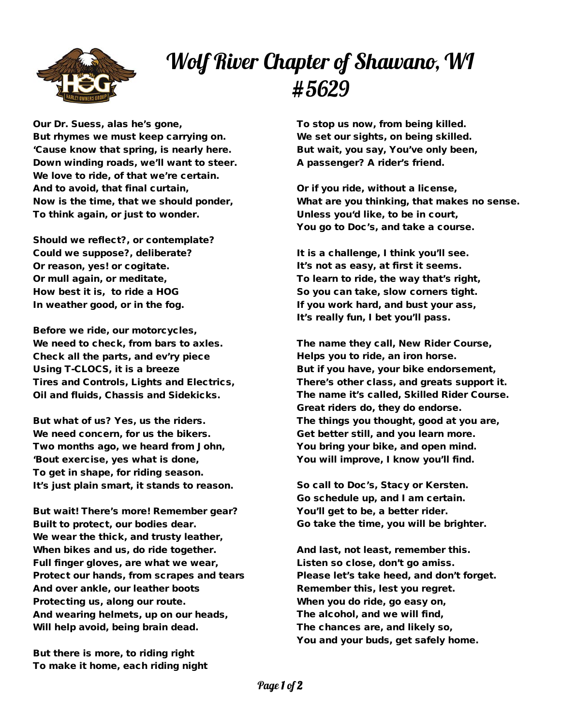

## Wolf River Chapter of Shawano, WI #5629

Our Dr. Suess, alas he's gone, But rhymes we must keep carrying on. 'Cause know that spring, is nearly here. Down winding roads, we'll want to steer. We love to ride, of that we're certain. And to avoid, that final curtain, Now is the time, that we should ponder, To think again, or just to wonder.

Should we reflect?, or contemplate? Could we suppose?, deliberate? Or reason, yes! or cogitate. Or mull again, or meditate, How best it is, to ride a HOG In weather good, or in the fog.

Before we ride, our motorcycles, We need to check, from bars to axles. Check all the parts, and ev'ry piece Using T-CLOCS, it is a breeze Tires and Controls, Lights and Electrics, Oil and fluids, Chassis and Sidekicks.

But what of us? Yes, us the riders. We need concern, for us the bikers. Two months ago, we heard from John, 'Bout exercise, yes what is done, To get in shape, for riding season. It's just plain smart, it stands to reason.

But wait! There's more! Remember gear? Built to protect, our bodies dear. We wear the thick, and trusty leather, When bikes and us, do ride together. Full finger gloves, are what we wear, Protect our hands, from scrapes and tears And over ankle, our leather boots Protecting us, along our route. And wearing helmets, up on our heads, Will help avoid, being brain dead.

But there is more, to riding right To make it home, each riding night

To stop us now, from being killed. We set our sights, on being skilled. But wait, you say, You've only been, A passenger? A rider's friend.

Or if you ride, without a license, What are you thinking, that makes no sense. Unless you'd like, to be in court, You go to Doc's, and take a course.

It is a challenge, I think you'll see. It's not as easy, at first it seems. To learn to ride, the way that's right, So you can take, slow corners tight. If you work hard, and bust your ass, It's really fun, I bet you'll pass.

The name they call, New Rider Course, Helps you to ride, an iron horse. But if you have, your bike endorsement, There's other class, and greats support it. The name it's called, Skilled Rider Course. Great riders do, they do endorse. The things you thought, good at you are, Get better still, and you learn more. You bring your bike, and open mind. You will improve, I know you'll find.

So call to Doc's, Stacy or Kersten. Go schedule up, and I am certain. You'll get to be, a better rider. Go take the time, you will be brighter.

And last, not least, remember this. Listen so close, don't go amiss. Please let's take heed, and don't forget. Remember this, lest you regret. When you do ride, go easy on, The alcohol, and we will find, The chances are, and likely so, You and your buds, get safely home.